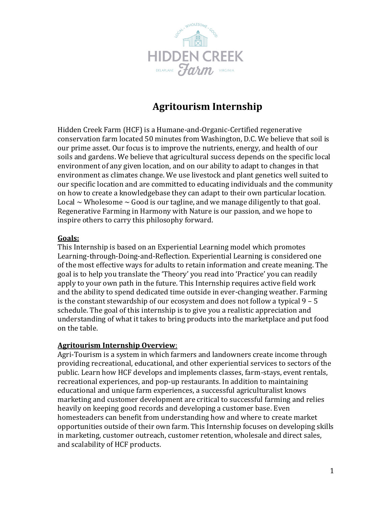

# **Agritourism Internship**

Hidden Creek Farm (HCF) is a Humane-and-Organic-Certified regenerative conservation farm located 50 minutes from Washington, D.C. We believe that soil is our prime asset. Our focus is to improve the nutrients, energy, and health of our soils and gardens. We believe that agricultural success depends on the specific local environment of any given location, and on our ability to adapt to changes in that environment as climates change. We use livestock and plant genetics well suited to our specific location and are committed to educating individuals and the community on how to create a knowledgebase they can adapt to their own particular location. Local  $\sim$  Wholesome  $\sim$  Good is our tagline, and we manage diligently to that goal. Regenerative Farming in Harmony with Nature is our passion, and we hope to inspire others to carry this philosophy forward.

#### **Goals:**

This Internship is based on an Experiential Learning model which promotes Learning-through-Doing-and-Reflection. Experiential Learning is considered one of the most effective ways for adults to retain information and create meaning. The goal is to help you translate the 'Theory' you read into 'Practice' you can readily apply to your own path in the future. This Internship requires active field work and the ability to spend dedicated time outside in ever-changing weather. Farming is the constant stewardship of our ecosystem and does not follow a typical 9 – 5 schedule. The goal of this internship is to give you a realistic appreciation and understanding of what it takes to bring products into the marketplace and put food on the table.

#### **Agritourism Internship Overview**:

Agri-Tourism is a system in which farmers and landowners create income through providing recreational, educational, and other experiential services to sectors of the public. Learn how HCF develops and implements classes, farm-stays, event rentals, recreational experiences, and pop-up restaurants. In addition to maintaining educational and unique farm experiences, a successful agriculturalist knows marketing and customer development are critical to successful farming and relies heavily on keeping good records and developing a customer base. Even homesteaders can benefit from understanding how and where to create market opportunities outside of their own farm. This Internship focuses on developing skills in marketing, customer outreach, customer retention, wholesale and direct sales, and scalability of HCF products.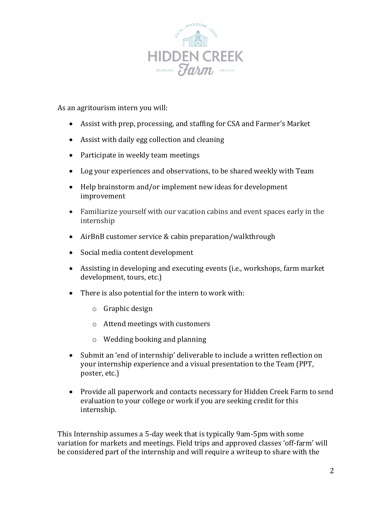

As an agritourism intern you will:

- Assist with prep, processing, and staffing for CSA and Farmer's Market
- Assist with daily egg collection and cleaning
- Participate in weekly team meetings
- Log your experiences and observations, to be shared weekly with Team
- Help brainstorm and/or implement new ideas for development improvement
- Familiarize yourself with our vacation cabins and event spaces early in the internship
- AirBnB customer service & cabin preparation/walkthrough
- Social media content development
- Assisting in developing and executing events (i.e., workshops, farm market development, tours, etc.)
- There is also potential for the intern to work with:
	- o Graphic design
	- o Attend meetings with customers
	- o Wedding booking and planning
- Submit an 'end of internship' deliverable to include a written reflection on your internship experience and a visual presentation to the Team (PPT, poster, etc.)
- Provide all paperwork and contacts necessary for Hidden Creek Farm to send evaluation to your college or work if you are seeking credit for this internship.

This Internship assumes a 5-day week that is typically 9am-5pm with some variation for markets and meetings. Field trips and approved classes 'off-farm' will be considered part of the internship and will require a writeup to share with the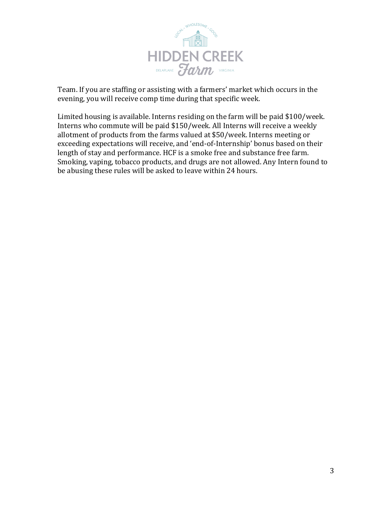

Team. If you are staffing or assisting with a farmers' market which occurs in the evening, you will receive comp time during that specific week.

Limited housing is available. Interns residing on the farm will be paid \$100/week. Interns who commute will be paid \$150/week. All Interns will receive a weekly allotment of products from the farms valued at \$50/week. Interns meeting or exceeding expectations will receive, and 'end-of-Internship' bonus based on their length of stay and performance. HCF is a smoke free and substance free farm. Smoking, vaping, tobacco products, and drugs are not allowed. Any Intern found to be abusing these rules will be asked to leave within 24 hours.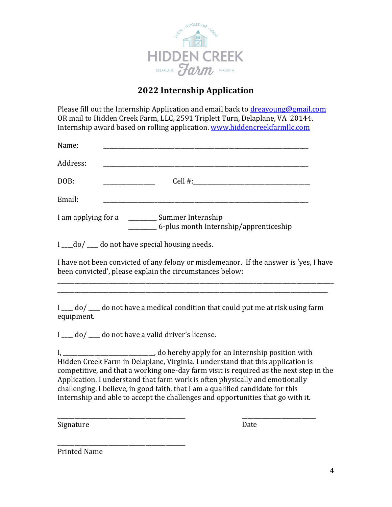

## **2022 Internship Application**

Please fill out the Internship Application and email back to [dreayoung@gmail.com](mailto:dreayoung@gmail.com) OR mail to Hidden Creek Farm, LLC, 2591 Triplett Turn, Delaplane, VA 20144. Internship award based on rolling application. [www.hiddencreekfarmllc.com](http://www.hiddencreekfarmllc.com/)

| Name:                                                                                 |
|---------------------------------------------------------------------------------------|
| Address:                                                                              |
| DOB:                                                                                  |
| Email:                                                                                |
| I am applying for a<br>__ Summer Internship<br>6-plus month Internship/apprenticeship |
|                                                                                       |

 $I$   $\_\_$  do  $/$   $\_\_$  do not have special housing needs.

I have not been convicted of any felony or misdemeanor. If the answer is 'yes, I have been convicted', please explain the circumstances below:

\_\_\_\_\_\_\_\_\_\_\_\_\_\_\_\_\_\_\_\_\_\_\_\_\_\_\_\_\_\_\_\_\_\_\_\_\_\_\_\_\_\_\_\_\_\_\_\_\_\_\_\_\_\_\_\_\_\_\_\_\_\_\_\_\_\_\_\_\_\_\_\_\_\_\_\_\_\_\_\_\_\_\_\_\_\_\_\_\_\_\_\_\_\_\_\_\_ \_\_\_\_\_\_\_\_\_\_\_\_\_\_\_\_\_\_\_\_\_\_\_\_\_\_\_\_\_\_\_\_\_\_\_\_\_\_\_\_\_\_\_\_\_\_\_\_\_\_\_\_\_\_\_\_\_\_\_\_\_\_\_\_\_\_\_\_\_\_\_\_\_\_\_\_\_\_\_\_\_\_\_\_\_\_\_\_\_\_\_\_\_\_\_

I  $\mu$  do  $\mu$  do not have a medical condition that could put me at risk using farm equipment.

I \_\_\_\_ do/ \_\_\_\_ do not have a valid driver's license.

I, Let the same of the contract of the contract of the contract of the contract of the contract of the contract of the contract of the contract of the contract of the contract of the contract of the contract of the contrac Hidden Creek Farm in Delaplane, Virginia. I understand that this application is competitive, and that a working one-day farm visit is required as the next step in the Application. I understand that farm work is often physically and emotionally challenging. I believe, in good faith, that I am a qualified candidate for this Internship and able to accept the challenges and opportunities that go with it.

\_\_\_\_\_\_\_\_\_\_\_\_\_\_\_\_\_\_\_\_\_\_\_\_\_\_\_\_\_\_\_\_\_\_\_\_\_\_\_\_\_\_\_\_\_ \_\_\_\_\_\_\_\_\_\_\_\_\_\_\_\_\_\_\_\_\_\_\_\_\_\_

Signature Date

\_\_\_\_\_\_\_\_\_\_\_\_\_\_\_\_\_\_\_\_\_\_\_\_\_\_\_\_\_\_\_\_\_\_\_\_\_\_\_\_\_\_\_\_\_ Printed Name